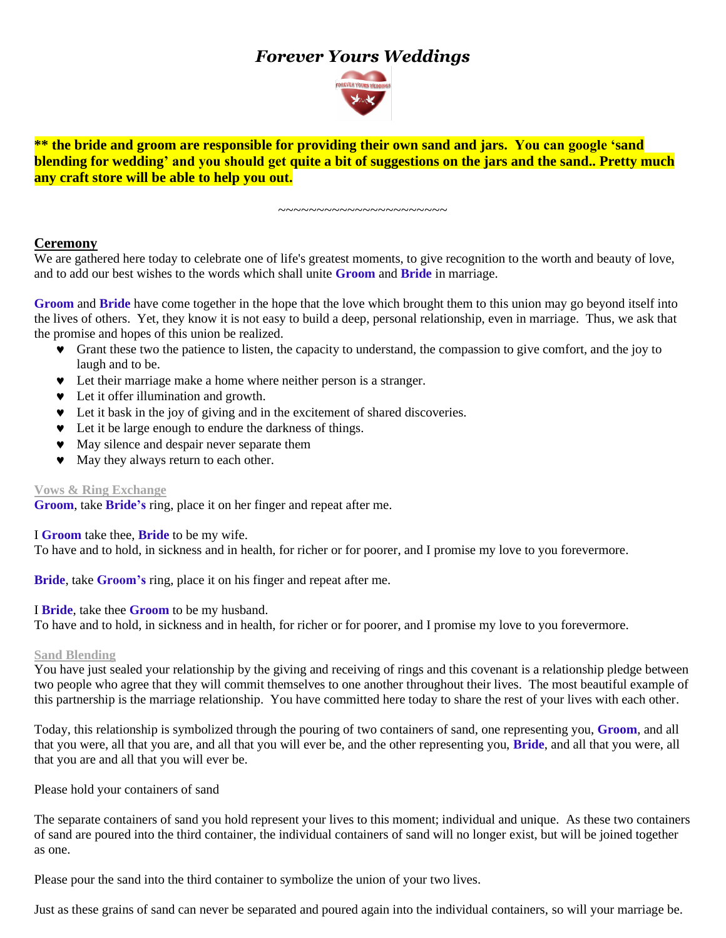# *Forever Yours Weddings*



**\*\* the bride and groom are responsible for providing their own sand and jars. You can google 'sand blending for wedding' and you should get quite a bit of suggestions on the jars and the sand.. Pretty much any craft store will be able to help you out.**

**Ceremony** We are gathered here today to celebrate one of life's greatest moments, to give recognition to the worth and beauty of love, and to add our best wishes to the words which shall unite **Groom** and **Bride** in marriage.

~~~~~~~~~~~~~~~~~~~~~

**Groom** and **Bride** have come together in the hope that the love which brought them to this union may go beyond itself into the lives of others. Yet, they know it is not easy to build a deep, personal relationship, even in marriage. Thus, we ask that the promise and hopes of this union be realized.

- Grant these two the patience to listen, the capacity to understand, the compassion to give comfort, and the joy to laugh and to be.
- Let their marriage make a home where neither person is a stranger.
- $\bullet$  Let it offer illumination and growth.
- Let it bask in the joy of giving and in the excitement of shared discoveries.
- $\bullet$  Let it be large enough to endure the darkness of things.
- $\bullet$  May silence and despair never separate them
- $\bullet$  May they always return to each other.

## **Vows & Ring Exchange**

**Groom**, take **Bride's** ring, place it on her finger and repeat after me.

I **Groom** take thee, **Bride** to be my wife.

To have and to hold, in sickness and in health, for richer or for poorer, and I promise my love to you forevermore.

**Bride**, take **Groom's** ring, place it on his finger and repeat after me.

I **Bride**, take thee **Groom** to be my husband.

To have and to hold, in sickness and in health, for richer or for poorer, and I promise my love to you forevermore.

#### **Sand Blending**

You have just sealed your relationship by the giving and receiving of rings and this covenant is a relationship pledge between two people who agree that they will commit themselves to one another throughout their lives. The most beautiful example of this partnership is the marriage relationship. You have committed here today to share the rest of your lives with each other.

Today, this relationship is symbolized through the pouring of two containers of sand, one representing you, **Groom**, and all that you were, all that you are, and all that you will ever be, and the other representing you, **Bride**, and all that you were, all that you are and all that you will ever be.

Please hold your containers of sand

The separate containers of sand you hold represent your lives to this moment; individual and unique. As these two containers of sand are poured into the third container, the individual containers of sand will no longer exist, but will be joined together as one.

Please pour the sand into the third container to symbolize the union of your two lives.

Just as these grains of sand can never be separated and poured again into the individual containers, so will your marriage be.